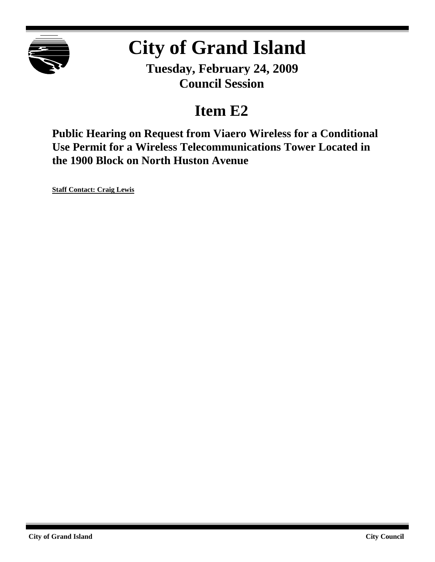

# **City of Grand Island**

**Tuesday, February 24, 2009 Council Session**

# **Item E2**

**Public Hearing on Request from Viaero Wireless for a Conditional Use Permit for a Wireless Telecommunications Tower Located in the 1900 Block on North Huston Avenue**

**Staff Contact: Craig Lewis**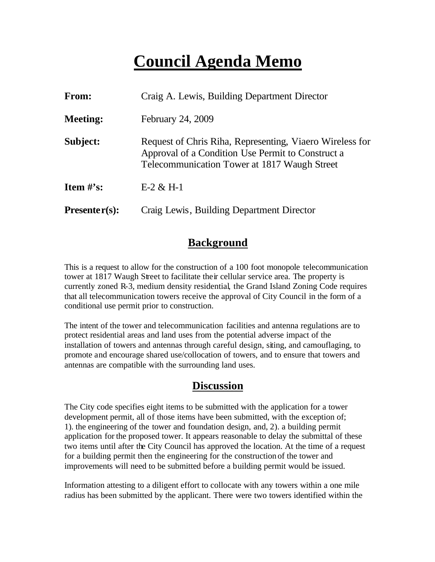# **Council Agenda Memo**

| From:           | Craig A. Lewis, Building Department Director                                                                                                                  |  |
|-----------------|---------------------------------------------------------------------------------------------------------------------------------------------------------------|--|
| <b>Meeting:</b> | February 24, 2009                                                                                                                                             |  |
| Subject:        | Request of Chris Riha, Representing, Viaero Wireless for<br>Approval of a Condition Use Permit to Construct a<br>Telecommunication Tower at 1817 Waugh Street |  |
| Item $#$ 's:    | $E-2 & H-1$                                                                                                                                                   |  |
| $Presenter(s):$ | Craig Lewis, Building Department Director                                                                                                                     |  |

#### **Background**

This is a request to allow for the construction of a 100 foot monopole telecommunication tower at 1817 Waugh Street to facilitate their cellular service area. The property is currently zoned R-3, medium density residential, the Grand Island Zoning Code requires that all telecommunication towers receive the approval of City Council in the form of a conditional use permit prior to construction.

The intent of the tower and telecommunication facilities and antenna regulations are to protect residential areas and land uses from the potential adverse impact of the installation of towers and antennas through careful design, siting, and camouflaging, to promote and encourage shared use/collocation of towers, and to ensure that towers and antennas are compatible with the surrounding land uses.

#### **Discussion**

The City code specifies eight items to be submitted with the application for a tower development permit, all of those items have been submitted, with the exception of; 1). the engineering of the tower and foundation design, and, 2). a building permit application for the proposed tower. It appears reasonable to delay the submittal of these two items until after the City Council has approved the location. At the time of a request for a building permit then the engineering for the construction of the tower and improvements will need to be submitted before a building permit would be issued.

Information attesting to a diligent effort to collocate with any towers within a one mile radius has been submitted by the applicant. There were two towers identified within the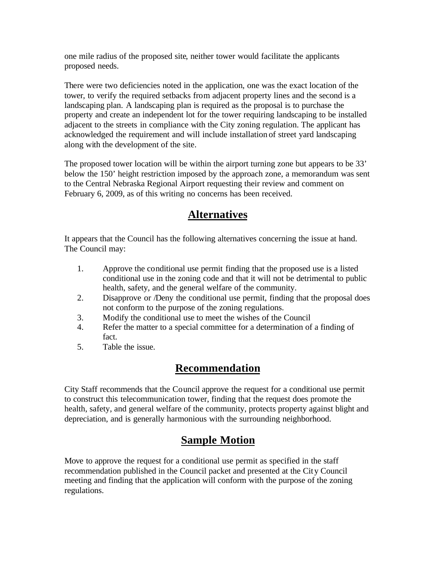one mile radius of the proposed site, neither tower would facilitate the applicants proposed needs.

There were two deficiencies noted in the application, one was the exact location of the tower, to verify the required setbacks from adjacent property lines and the second is a landscaping plan. A landscaping plan is required as the proposal is to purchase the property and create an independent lot for the tower requiring landscaping to be installed adjacent to the streets in compliance with the City zoning regulation. The applicant has acknowledged the requirement and will include installation of street yard landscaping along with the development of the site.

The proposed tower location will be within the airport turning zone but appears to be 33' below the 150' height restriction imposed by the approach zone, a memorandum was sent to the Central Nebraska Regional Airport requesting their review and comment on February 6, 2009, as of this writing no concerns has been received.

### **Alternatives**

It appears that the Council has the following alternatives concerning the issue at hand. The Council may:

- 1. Approve the conditional use permit finding that the proposed use is a listed conditional use in the zoning code and that it will not be detrimental to public health, safety, and the general welfare of the community.
- 2. Disapprove or /Deny the conditional use permit, finding that the proposal does not conform to the purpose of the zoning regulations.
- 3. Modify the conditional use to meet the wishes of the Council
- 4. Refer the matter to a special committee for a determination of a finding of fact.
- 5. Table the issue.

### **Recommendation**

City Staff recommends that the Council approve the request for a conditional use permit to construct this telecommunication tower, finding that the request does promote the health, safety, and general welfare of the community, protects property against blight and depreciation, and is generally harmonious with the surrounding neighborhood.

## **Sample Motion**

Move to approve the request for a conditional use permit as specified in the staff recommendation published in the Council packet and presented at the City Council meeting and finding that the application will conform with the purpose of the zoning regulations.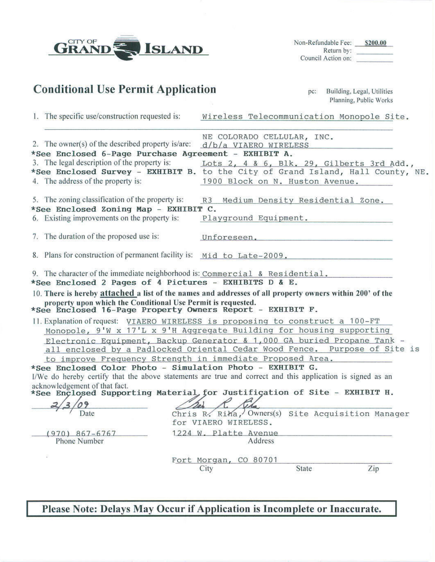| CITY OF<br><b>ISLAND</b>                                                                                                                                                                                                                                                                                                                                                                                                                                                                                                                               |                                                                                          | Non-Refundable Fee: \$200.00<br>Return by:<br>Council Action on: |
|--------------------------------------------------------------------------------------------------------------------------------------------------------------------------------------------------------------------------------------------------------------------------------------------------------------------------------------------------------------------------------------------------------------------------------------------------------------------------------------------------------------------------------------------------------|------------------------------------------------------------------------------------------|------------------------------------------------------------------|
| <b>Conditional Use Permit Application</b>                                                                                                                                                                                                                                                                                                                                                                                                                                                                                                              |                                                                                          | Building, Legal, Utilities<br>pc:<br>Planning, Public Works      |
| 1. The specific use/construction requested is:                                                                                                                                                                                                                                                                                                                                                                                                                                                                                                         |                                                                                          | Wireless Telecommunication Monopole Site.                        |
| 2. The owner(s) of the described property is/are:<br>*See Enclosed 6-Page Purchase Agreement - EXHIBIT A.<br>3. The legal description of the property is:<br>*See Enclosed Survey - EXHIBIT B. to the City of Grand Island, Hall County, NE.<br>4. The address of the property is:                                                                                                                                                                                                                                                                     | NE COLORADO CELLULAR, INC.<br>$d/b/a$ VIAERO WIRELESS<br>1900 Block on N. Huston Avenue. | Lots 2, 4 & 6, Blk. 29, Gilberts 3rd Add.,                       |
| 5. The zoning classification of the property is:<br>*See Enclosed Zoning Map - EXHIBIT C.<br>6. Existing improvements on the property is:                                                                                                                                                                                                                                                                                                                                                                                                              | R3                                                                                       | Medium Density Residential Zone.<br>Playground Equipment.        |
| 7. The duration of the proposed use is:                                                                                                                                                                                                                                                                                                                                                                                                                                                                                                                |                                                                                          | Unforeseen.                                                      |
| 8. Plans for construction of permanent facility is: Mid to Late-2009.                                                                                                                                                                                                                                                                                                                                                                                                                                                                                  |                                                                                          |                                                                  |
| 9. The character of the immediate neighborhood is: Commercial & Residential.<br>*See Enclosed 2 Pages of 4 Pictures - EXHIBITS D & E.<br>10. There is hereby attached a list of the names and addresses of all property owners within 200' of the<br>property upon which the Conditional Use Permit is requested.<br>*See Enclosed 16-Page Property Owners Report - EXHIBIT F.                                                                                                                                                                         |                                                                                          |                                                                  |
| 11. Explanation of request: VIAERO WIRELESS is proposing to construct a 100-FT<br>Monopole, 9'W x 17'L x 9'H Aggregate Building for housing supporting<br>Electronic Equipment, Backup Generator & 1,000 GA buried Propane Tank -<br>all enclosed by a Padlocked Oriental Cedar Wood Fence. Purpose of Site is<br>to improve Frequency Strength in immediate Proposed Area.<br>*See Enclosed Color Photo - Simulation Photo - EXHIBIT G.<br>I/We do hereby certify that the above statements are true and correct and this application is signed as an |                                                                                          |                                                                  |
| acknowledgement of that fact.<br>*See Enclosed Supporting Material for Justification of Site - EXHIBIT H.                                                                                                                                                                                                                                                                                                                                                                                                                                              |                                                                                          |                                                                  |
| Date                                                                                                                                                                                                                                                                                                                                                                                                                                                                                                                                                   | Chris R. Riha, Owners(s)<br>for VIAERO WIRELESS.                                         | Site Acquisition Manager                                         |
| $(970)$ 867-6767<br>Phone Number                                                                                                                                                                                                                                                                                                                                                                                                                                                                                                                       | 1224 W. Platte Avenue<br>Address                                                         |                                                                  |
|                                                                                                                                                                                                                                                                                                                                                                                                                                                                                                                                                        | Fort Morgan, CO 80701<br>City                                                            | Zip<br>State                                                     |

Please Note: Delays May Occur if Application is Incomplete or Inaccurate.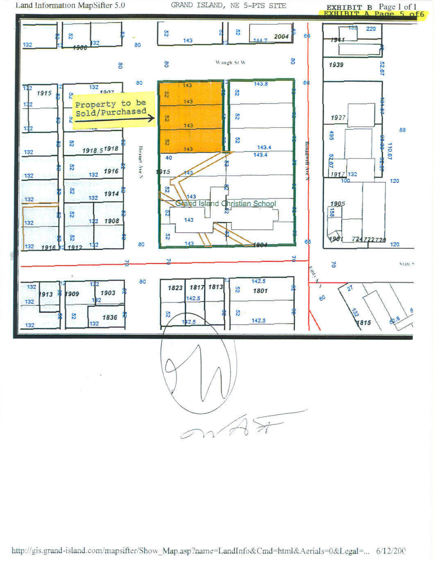Land Information MapSifter 5.0

GRAND ISLAND, NE 5-PTS SITE

**EXHIBIT B** Page 1 of 1